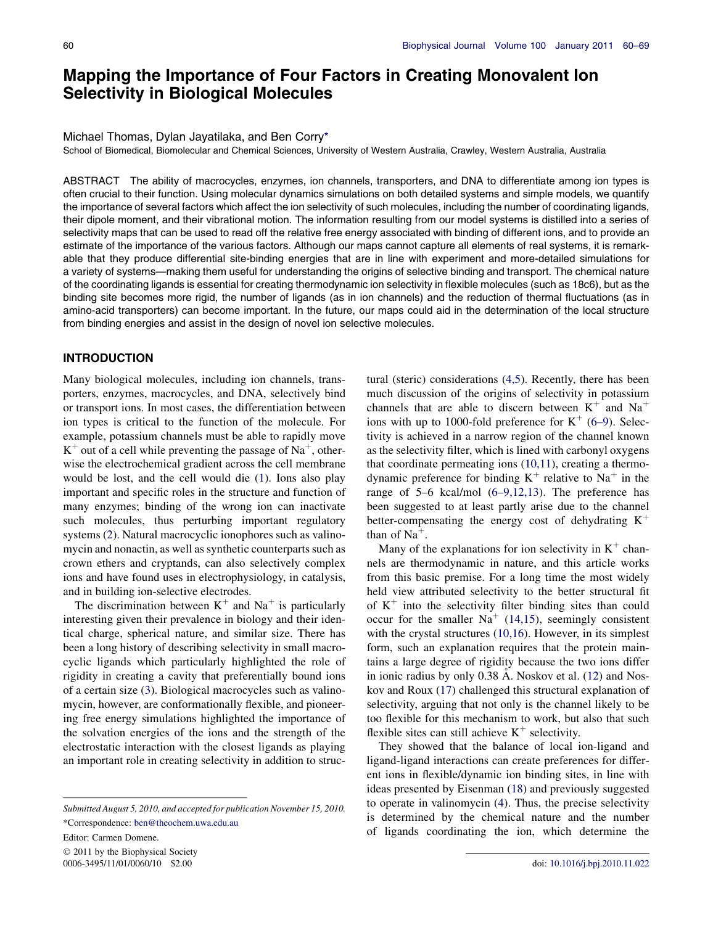# Mapping the Importance of Four Factors in Creating Monovalent Ion Selectivity in Biological Molecules

Michael Thomas, Dylan Jayatilaka, and Ben Corry\*

School of Biomedical, Biomolecular and Chemical Sciences, University of Western Australia, Crawley, Western Australia, Australia

ABSTRACT The ability of macrocycles, enzymes, ion channels, transporters, and DNA to differentiate among ion types is often crucial to their function. Using molecular dynamics simulations on both detailed systems and simple models, we quantify the importance of several factors which affect the ion selectivity of such molecules, including the number of coordinating ligands, their dipole moment, and their vibrational motion. The information resulting from our model systems is distilled into a series of selectivity maps that can be used to read off the relative free energy associated with binding of different ions, and to provide an estimate of the importance of the various factors. Although our maps cannot capture all elements of real systems, it is remarkable that they produce differential site-binding energies that are in line with experiment and more-detailed simulations for a variety of systems—making them useful for understanding the origins of selective binding and transport. The chemical nature of the coordinating ligands is essential for creating thermodynamic ion selectivity in flexible molecules (such as 18c6), but as the binding site becomes more rigid, the number of ligands (as in ion channels) and the reduction of thermal fluctuations (as in amino-acid transporters) can become important. In the future, our maps could aid in the determination of the local structure from binding energies and assist in the design of novel ion selective molecules.

### INTRODUCTION

Many biological molecules, including ion channels, transporters, enzymes, macrocycles, and DNA, selectively bind or transport ions. In most cases, the differentiation between ion types is critical to the function of the molecule. For example, potassium channels must be able to rapidly move  $K^+$  out of a cell while preventing the passage of Na<sup>+</sup>, otherwise the electrochemical gradient across the cell membrane would be lost, and the cell would die [\(1\)](#page-8-0). Ions also play important and specific roles in the structure and function of many enzymes; binding of the wrong ion can inactivate such molecules, thus perturbing important regulatory systems ([2\)](#page-8-0). Natural macrocyclic ionophores such as valinomycin and nonactin, as well as synthetic counterparts such as crown ethers and cryptands, can also selectively complex ions and have found uses in electrophysiology, in catalysis, and in building ion-selective electrodes.

The discrimination between  $K^+$  and Na<sup>+</sup> is particularly interesting given their prevalence in biology and their identical charge, spherical nature, and similar size. There has been a long history of describing selectivity in small macrocyclic ligands which particularly highlighted the role of rigidity in creating a cavity that preferentially bound ions of a certain size ([3\)](#page-8-0). Biological macrocycles such as valinomycin, however, are conformationally flexible, and pioneering free energy simulations highlighted the importance of the solvation energies of the ions and the strength of the electrostatic interaction with the closest ligands as playing an important role in creating selectivity in addition to struc-

Editor: Carmen Domene.

 2011 by the Biophysical Society 0006-3495/11/01/0060/10 \$2.00 doi: [10.1016/j.bpj.2010.11.022](http://dx.doi.org/10.1016/j.bpj.2010.11.022)

tural (steric) considerations [\(4,5\)](#page-8-0). Recently, there has been much discussion of the origins of selectivity in potassium channels that are able to discern between  $K^+$  and Na<sup>+</sup> ions with up to 1000-fold preference for  $K^+$  [\(6–9](#page-9-0)). Selectivity is achieved in a narrow region of the channel known as the selectivity filter, which is lined with carbonyl oxygens that coordinate permeating ions [\(10,11\)](#page-9-0), creating a thermodynamic preference for binding  $K^+$  relative to Na<sup>+</sup> in the range of 5–6 kcal/mol [\(6–9,12,13](#page-9-0)). The preference has been suggested to at least partly arise due to the channel better-compensating the energy cost of dehydrating  $K^+$ than of  $Na<sup>+</sup>$ .

Many of the explanations for ion selectivity in  $K^+$  channels are thermodynamic in nature, and this article works from this basic premise. For a long time the most widely held view attributed selectivity to the better structural fit of  $K^+$  into the selectivity filter binding sites than could occur for the smaller  $Na<sup>+</sup>$  ([14,15](#page-9-0)), seemingly consistent with the crystal structures ([10,16](#page-9-0)). However, in its simplest form, such an explanation requires that the protein maintains a large degree of rigidity because the two ions differ in ionic radius by only  $0.38$  Å. Noskov et al.  $(12)$  $(12)$  and Noskov and Roux [\(17](#page-9-0)) challenged this structural explanation of selectivity, arguing that not only is the channel likely to be too flexible for this mechanism to work, but also that such flexible sites can still achieve  $K^+$  selectivity.

They showed that the balance of local ion-ligand and ligand-ligand interactions can create preferences for different ions in flexible/dynamic ion binding sites, in line with ideas presented by Eisenman ([18\)](#page-9-0) and previously suggested to operate in valinomycin ([4\)](#page-8-0). Thus, the precise selectivity is determined by the chemical nature and the number of ligands coordinating the ion, which determine the

Submitted August 5, 2010, and accepted for publication November 15, 2010. \*Correspondence: [ben@theochem.uwa.edu.au](mailto:ben@theochem.uwa.edu.au)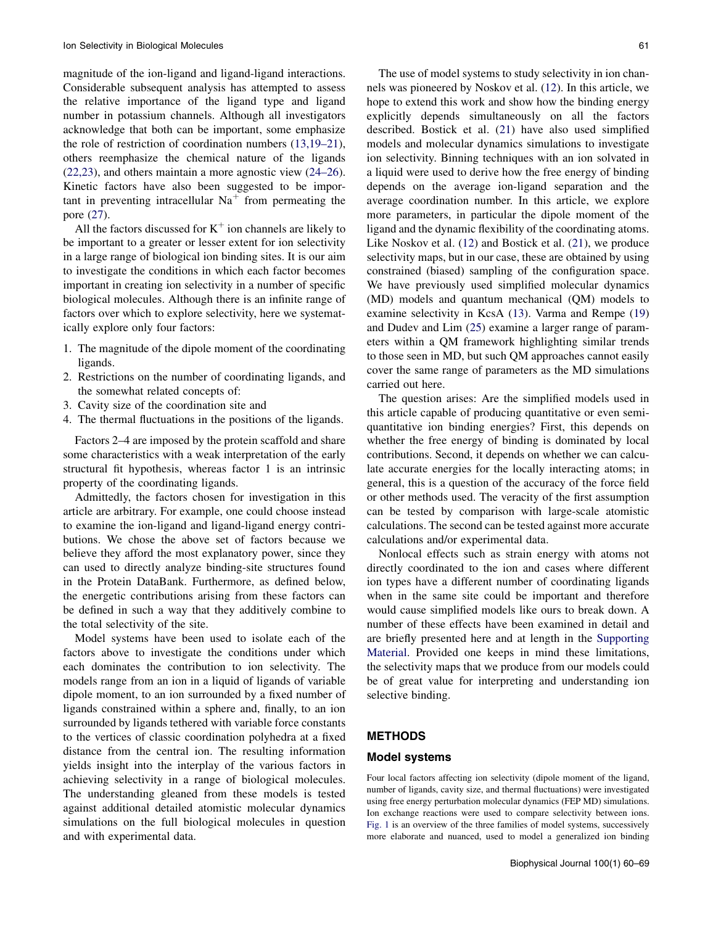magnitude of the ion-ligand and ligand-ligand interactions. Considerable subsequent analysis has attempted to assess the relative importance of the ligand type and ligand number in potassium channels. Although all investigators acknowledge that both can be important, some emphasize the role of restriction of coordination numbers [\(13,19–21\)](#page-9-0), others reemphasize the chemical nature of the ligands ([22,23](#page-9-0)), and others maintain a more agnostic view ([24–26\)](#page-9-0). Kinetic factors have also been suggested to be important in preventing intracellular  $Na<sup>+</sup>$  from permeating the pore [\(27\)](#page-9-0).

All the factors discussed for  $K^+$  ion channels are likely to be important to a greater or lesser extent for ion selectivity in a large range of biological ion binding sites. It is our aim to investigate the conditions in which each factor becomes important in creating ion selectivity in a number of specific biological molecules. Although there is an infinite range of factors over which to explore selectivity, here we systematically explore only four factors:

- 1. The magnitude of the dipole moment of the coordinating ligands.
- 2. Restrictions on the number of coordinating ligands, and the somewhat related concepts of:
- 3. Cavity size of the coordination site and
- 4. The thermal fluctuations in the positions of the ligands.

Factors 2–4 are imposed by the protein scaffold and share some characteristics with a weak interpretation of the early structural fit hypothesis, whereas factor 1 is an intrinsic property of the coordinating ligands.

Admittedly, the factors chosen for investigation in this article are arbitrary. For example, one could choose instead to examine the ion-ligand and ligand-ligand energy contributions. We chose the above set of factors because we believe they afford the most explanatory power, since they can used to directly analyze binding-site structures found in the Protein DataBank. Furthermore, as defined below, the energetic contributions arising from these factors can be defined in such a way that they additively combine to the total selectivity of the site.

Model systems have been used to isolate each of the factors above to investigate the conditions under which each dominates the contribution to ion selectivity. The models range from an ion in a liquid of ligands of variable dipole moment, to an ion surrounded by a fixed number of ligands constrained within a sphere and, finally, to an ion surrounded by ligands tethered with variable force constants to the vertices of classic coordination polyhedra at a fixed distance from the central ion. The resulting information yields insight into the interplay of the various factors in achieving selectivity in a range of biological molecules. The understanding gleaned from these models is tested against additional detailed atomistic molecular dynamics simulations on the full biological molecules in question and with experimental data.

The use of model systems to study selectivity in ion channels was pioneered by Noskov et al. [\(12](#page-9-0)). In this article, we hope to extend this work and show how the binding energy explicitly depends simultaneously on all the factors described. Bostick et al. ([21\)](#page-9-0) have also used simplified models and molecular dynamics simulations to investigate ion selectivity. Binning techniques with an ion solvated in a liquid were used to derive how the free energy of binding depends on the average ion-ligand separation and the average coordination number. In this article, we explore more parameters, in particular the dipole moment of the ligand and the dynamic flexibility of the coordinating atoms. Like Noskov et al. [\(12](#page-9-0)) and Bostick et al. [\(21](#page-9-0)), we produce selectivity maps, but in our case, these are obtained by using constrained (biased) sampling of the configuration space. We have previously used simplified molecular dynamics (MD) models and quantum mechanical (QM) models to examine selectivity in KcsA ([13\)](#page-9-0). Varma and Rempe [\(19](#page-9-0)) and Dudev and Lim ([25\)](#page-9-0) examine a larger range of parameters within a QM framework highlighting similar trends to those seen in MD, but such QM approaches cannot easily cover the same range of parameters as the MD simulations carried out here.

The question arises: Are the simplified models used in this article capable of producing quantitative or even semiquantitative ion binding energies? First, this depends on whether the free energy of binding is dominated by local contributions. Second, it depends on whether we can calculate accurate energies for the locally interacting atoms; in general, this is a question of the accuracy of the force field or other methods used. The veracity of the first assumption can be tested by comparison with large-scale atomistic calculations. The second can be tested against more accurate calculations and/or experimental data.

Nonlocal effects such as strain energy with atoms not directly coordinated to the ion and cases where different ion types have a different number of coordinating ligands when in the same site could be important and therefore would cause simplified models like ours to break down. A number of these effects have been examined in detail and are briefly presented here and at length in the [Supporting](#page-8-0) [Material](#page-8-0). Provided one keeps in mind these limitations, the selectivity maps that we produce from our models could be of great value for interpreting and understanding ion selective binding.

# METHODS

### Model systems

Four local factors affecting ion selectivity (dipole moment of the ligand, number of ligands, cavity size, and thermal fluctuations) were investigated using free energy perturbation molecular dynamics (FEP MD) simulations. Ion exchange reactions were used to compare selectivity between ions. [Fig. 1](#page-2-0) is an overview of the three families of model systems, successively more elaborate and nuanced, used to model a generalized ion binding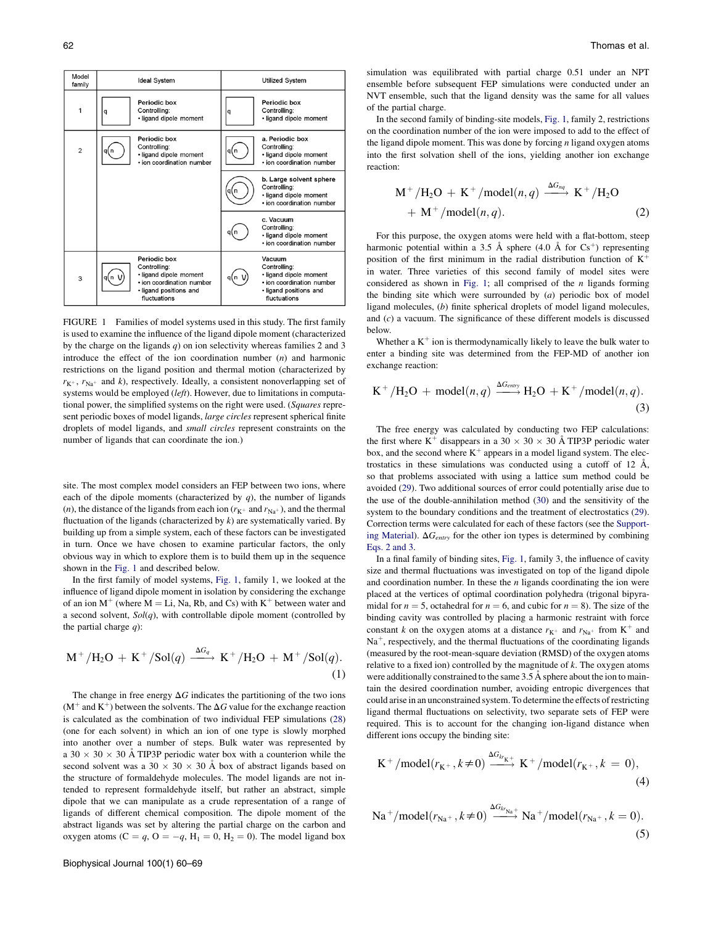<span id="page-2-0"></span>

FIGURE 1 Families of model systems used in this study. The first family is used to examine the influence of the ligand dipole moment (characterized by the charge on the ligands  $q$ ) on ion selectivity whereas families 2 and 3 introduce the effect of the ion coordination number  $(n)$  and harmonic restrictions on the ligand position and thermal motion (characterized by  $r_{K^+}$ ,  $r_{Na^+}$  and k), respectively. Ideally, a consistent nonoverlapping set of systems would be employed (*left*). However, due to limitations in computational power, the simplified systems on the right were used. (Squares represent periodic boxes of model ligands, large circles represent spherical finite droplets of model ligands, and small circles represent constraints on the number of ligands that can coordinate the ion.)

site. The most complex model considers an FEP between two ions, where each of the dipole moments (characterized by  $q$ ), the number of ligands (n), the distance of the ligands from each ion ( $r_{K^+}$  and  $r_{Na^+}$ ), and the thermal fluctuation of the ligands (characterized by  $k$ ) are systematically varied. By building up from a simple system, each of these factors can be investigated in turn. Once we have chosen to examine particular factors, the only obvious way in which to explore them is to build them up in the sequence shown in the Fig. 1 and described below.

In the first family of model systems, Fig. 1, family 1, we looked at the influence of ligand dipole moment in isolation by considering the exchange of an ion  $M^+$  (where  $M = Li$ , Na, Rb, and Cs) with  $K^+$  between water and a second solvent,  $Sol(q)$ , with controllable dipole moment (controlled by the partial charge  $q$ ):

$$
M^+/H_2O + K^+/Sol(q) \xrightarrow{\Delta G_q} K^+/H_2O + M^+/Sol(q).
$$
\n(1)

The change in free energy  $\Delta G$  indicates the partitioning of the two ions ( $M^+$  and  $K^+$ ) between the solvents. The  $\Delta G$  value for the exchange reaction is calculated as the combination of two individual FEP simulations ([28\)](#page-9-0) (one for each solvent) in which an ion of one type is slowly morphed into another over a number of steps. Bulk water was represented by a 30  $\times$  30  $\AA$  TIP3P periodic water box with a counterion while the second solvent was a  $30 \times 30 \times 30$  Å box of abstract ligands based on the structure of formaldehyde molecules. The model ligands are not intended to represent formaldehyde itself, but rather an abstract, simple dipole that we can manipulate as a crude representation of a range of ligands of different chemical composition. The dipole moment of the abstract ligands was set by altering the partial charge on the carbon and oxygen atoms (C = q, O = -q, H<sub>1</sub> = 0, H<sub>2</sub> = 0). The model ligand box simulation was equilibrated with partial charge 0.51 under an NPT ensemble before subsequent FEP simulations were conducted under an NVT ensemble, such that the ligand density was the same for all values of the partial charge.

In the second family of binding-site models, Fig. 1, family 2, restrictions on the coordination number of the ion were imposed to add to the effect of the ligand dipole moment. This was done by forcing  $n$  ligand oxygen atoms into the first solvation shell of the ions, yielding another ion exchange reaction:

$$
M^{+}/H_{2}O + K^{+}/model(n,q) \xrightarrow{\Delta G_{nq}} K^{+}/H_{2}O
$$
  
+ M^{+}/model(n,q). (2)

For this purpose, the oxygen atoms were held with a flat-bottom, steep harmonic potential within a 3.5 Å sphere (4.0 Å for  $Cs^+$ ) representing position of the first minimum in the radial distribution function of  $K^+$ in water. Three varieties of this second family of model sites were considered as shown in Fig. 1; all comprised of the  $n$  ligands forming the binding site which were surrounded by  $(a)$  periodic box of model ligand molecules, (b) finite spherical droplets of model ligand molecules, and  $(c)$  a vacuum. The significance of these different models is discussed below.

Whether a  $K^+$  ion is thermodynamically likely to leave the bulk water to enter a binding site was determined from the FEP-MD of another ion exchange reaction:

$$
K^+/H_2O + model(n,q) \xrightarrow{\Delta G_{entry}} H_2O + K^+/model(n,q).
$$
\n(3)

The free energy was calculated by conducting two FEP calculations: the first where K<sup>+</sup> disappears in a 30  $\times$  30  $\times$  30 Å TIP3P periodic water box, and the second where  $K^+$  appears in a model ligand system. The electrostatics in these simulations was conducted using a cutoff of  $12 \text{ Å}$ , so that problems associated with using a lattice sum method could be avoided [\(29](#page-9-0)). Two additional sources of error could potentially arise due to the use of the double-annihilation method ([30\)](#page-9-0) and the sensitivity of the system to the boundary conditions and the treatment of electrostatics ([29\)](#page-9-0). Correction terms were calculated for each of these factors (see the [Support](#page-8-0)[ing Material](#page-8-0)).  $\Delta G_{entry}$  for the other ion types is determined by combining Eqs. 2 and 3.

In a final family of binding sites, Fig. 1, family 3, the influence of cavity size and thermal fluctuations was investigated on top of the ligand dipole and coordination number. In these the  $n$  ligands coordinating the ion were placed at the vertices of optimal coordination polyhedra (trigonal bipyramidal for  $n = 5$ , octahedral for  $n = 6$ , and cubic for  $n = 8$ ). The size of the binding cavity was controlled by placing a harmonic restraint with force constant k on the oxygen atoms at a distance  $r_{K^+}$  and  $r_{Na^+}$  from K<sup>+</sup> and  $Na<sup>+</sup>$ , respectively, and the thermal fluctuations of the coordinating ligands (measured by the root-mean-square deviation (RMSD) of the oxygen atoms relative to a fixed ion) controlled by the magnitude of  $k$ . The oxygen atoms were additionally constrained to the same 3.5 Å sphere about the ion to maintain the desired coordination number, avoiding entropic divergences that could arise in an unconstrained system. To determine the effects of restricting ligand thermal fluctuations on selectivity, two separate sets of FEP were required. This is to account for the changing ion-ligand distance when different ions occupy the binding site:

$$
K^{+}/model(r_{K^{+}}, k \neq 0) \xrightarrow{\Delta G_{kr_{K^{+}}}} K^{+}/model(r_{K^{+}}, k = 0),
$$
\n(4)

$$
\mathrm{Na^+}/\mathrm{model}(r_{\mathrm{Na^+}}, k \neq 0) \xrightarrow{\Delta G_{k_{\mathrm{Na^+}}}} \mathrm{Na^+}/\mathrm{model}(r_{\mathrm{Na^+}}, k = 0).
$$
\n(5)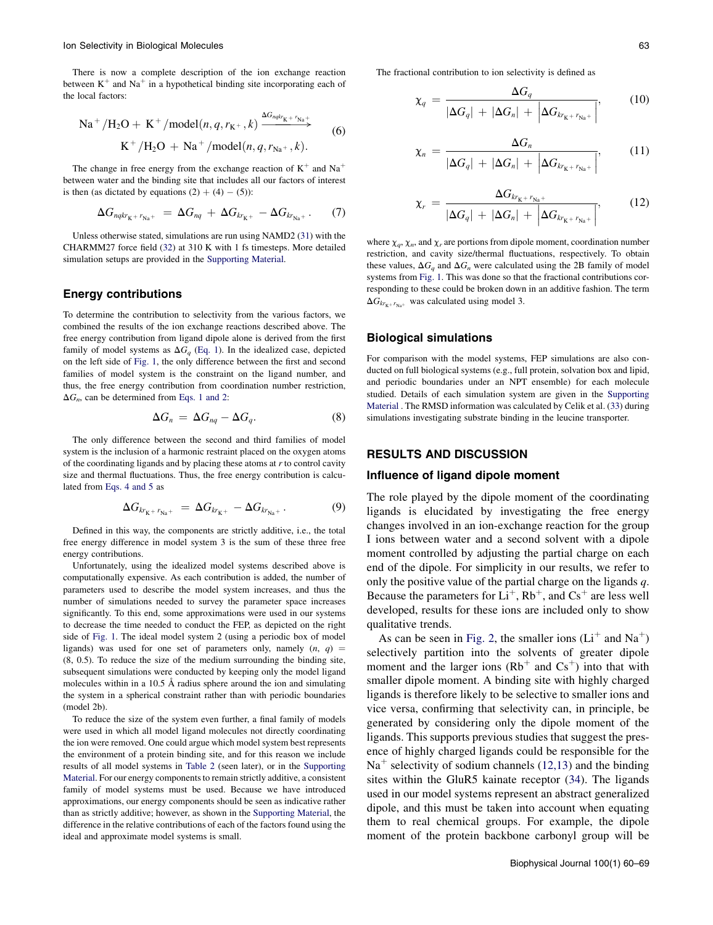There is now a complete description of the ion exchange reaction between  $K^+$  and  $Na^+$  in a hypothetical binding site incorporating each of the local factors:

$$
Na^{+}/H_{2}O + K^{+}/model(n, q, r_{K^{+}}, k) \xrightarrow{\Delta G_{nqlr_{K^{+}}, r_{Na^{+}}}} (6)
$$
  

$$
K^{+}/H_{2}O + Na^{+}/model(n, q, r_{Na^{+}}, k).
$$

The change in free energy from the exchange reaction of  $K^+$  and  $Na^+$ between water and the binding site that includes all our factors of interest is then (as dictated by equations  $(2) + (4) - (5)$ ):

$$
\Delta G_{nqkr_{K}+r_{Na^+}} = \Delta G_{nq} + \Delta G_{kr_{K^+}} - \Delta G_{kr_{Na^+}}.\tag{7}
$$

Unless otherwise stated, simulations are run using NAMD2 [\(31](#page-9-0)) with the CHARMM27 force field ([32\)](#page-9-0) at 310 K with 1 fs timesteps. More detailed simulation setups are provided in the [Supporting Material](#page-8-0).

#### Energy contributions

To determine the contribution to selectivity from the various factors, we combined the results of the ion exchange reactions described above. The free energy contribution from ligand dipole alone is derived from the first family of model systems as  $\Delta G_q$  (Eq. 1). In the idealized case, depicted on the left side of [Fig. 1,](#page-2-0) the only difference between the first and second families of model system is the constraint on the ligand number, and thus, the free energy contribution from coordination number restriction,  $\Delta G_n$ , can be determined from Eqs. 1 and 2:

$$
\Delta G_n = \Delta G_{nq} - \Delta G_q. \tag{8}
$$

The only difference between the second and third families of model system is the inclusion of a harmonic restraint placed on the oxygen atoms of the coordinating ligands and by placing these atoms at  $r$  to control cavity size and thermal fluctuations. Thus, the free energy contribution is calculated from Eqs. 4 and 5 as

$$
\Delta G_{kr_{K}+r_{Na^+}} = \Delta G_{kr_{K^+}} - \Delta G_{kr_{Na^+}}.\tag{9}
$$

Defined in this way, the components are strictly additive, i.e., the total free energy difference in model system 3 is the sum of these three free energy contributions.

Unfortunately, using the idealized model systems described above is computationally expensive. As each contribution is added, the number of parameters used to describe the model system increases, and thus the number of simulations needed to survey the parameter space increases significantly. To this end, some approximations were used in our systems to decrease the time needed to conduct the FEP, as depicted on the right side of [Fig. 1.](#page-2-0) The ideal model system 2 (using a periodic box of model ligands) was used for one set of parameters only, namely  $(n, q)$  = (8, 0.5). To reduce the size of the medium surrounding the binding site, subsequent simulations were conducted by keeping only the model ligand molecules within in a  $10.5$  Å radius sphere around the ion and simulating the system in a spherical constraint rather than with periodic boundaries (model 2b).

To reduce the size of the system even further, a final family of models were used in which all model ligand molecules not directly coordinating the ion were removed. One could argue which model system best represents the environment of a protein binding site, and for this reason we include results of all model systems in [Table 2](#page-7-0) (seen later), or in the [Supporting](#page-8-0) [Material.](#page-8-0) For our energy components to remain strictly additive, a consistent family of model systems must be used. Because we have introduced approximations, our energy components should be seen as indicative rather than as strictly additive; however, as shown in the [Supporting Material,](#page-8-0) the difference in the relative contributions of each of the factors found using the ideal and approximate model systems is small.

The fractional contribution to ion selectivity is defined as

$$
\chi_q = \frac{\Delta G_q}{|\Delta G_q| + |\Delta G_n| + |\Delta G_{kr_{\kappa} + r_{\mathrm{Na}^+}}|},\qquad(10)
$$

$$
\chi_n = \frac{\Delta G_n}{|\Delta G_q| + |\Delta G_n| + |\Delta G_{kr_{\kappa} + r_{\mathrm{Na}^+}}|},\qquad(11)
$$

$$
\chi_r = \frac{\Delta G_{kr_{K} + r_{Na}+}}{|\Delta G_q| + |\Delta G_n| + |\Delta G_{kr_{K} + r_{Na}+}|},
$$
(12)

where  $\chi_q$ ,  $\chi_n$ , and  $\chi_r$  are portions from dipole moment, coordination number restriction, and cavity size/thermal fluctuations, respectively. To obtain these values,  $\Delta G_q$  and  $\Delta G_n$  were calculated using the 2B family of model systems from [Fig. 1.](#page-2-0) This was done so that the fractional contributions corresponding to these could be broken down in an additive fashion. The term  $\Delta G_{kr_{\kappa}+r_{\text{N}_0+}}$  was calculated using model 3.

#### Biological simulations

For comparison with the model systems, FEP simulations are also conducted on full biological systems (e.g., full protein, solvation box and lipid, and periodic boundaries under an NPT ensemble) for each molecule studied. Details of each simulation system are given in the [Supporting](#page-8-0) [Material](#page-8-0) . The RMSD information was calculated by Celik et al. ([33](#page-9-0)) during simulations investigating substrate binding in the leucine transporter.

# RESULTS AND DISCUSSION

# Influence of ligand dipole moment

The role played by the dipole moment of the coordinating ligands is elucidated by investigating the free energy changes involved in an ion-exchange reaction for the group I ions between water and a second solvent with a dipole moment controlled by adjusting the partial charge on each end of the dipole. For simplicity in our results, we refer to only the positive value of the partial charge on the ligands q. Because the parameters for  $Li^+$ ,  $Rb^+$ , and  $Cs^+$  are less well developed, results for these ions are included only to show qualitative trends.

As can be seen in [Fig. 2](#page-4-0), the smaller ions  $(L<sup>+</sup>$  and Na<sup>+</sup>) selectively partition into the solvents of greater dipole moment and the larger ions  $(Rb<sup>+</sup>$  and  $Cs<sup>+</sup>$ ) into that with smaller dipole moment. A binding site with highly charged ligands is therefore likely to be selective to smaller ions and vice versa, confirming that selectivity can, in principle, be generated by considering only the dipole moment of the ligands. This supports previous studies that suggest the presence of highly charged ligands could be responsible for the  $Na<sup>+</sup>$  selectivity of sodium channels [\(12,13\)](#page-9-0) and the binding sites within the GluR5 kainate receptor [\(34](#page-9-0)). The ligands used in our model systems represent an abstract generalized dipole, and this must be taken into account when equating them to real chemical groups. For example, the dipole moment of the protein backbone carbonyl group will be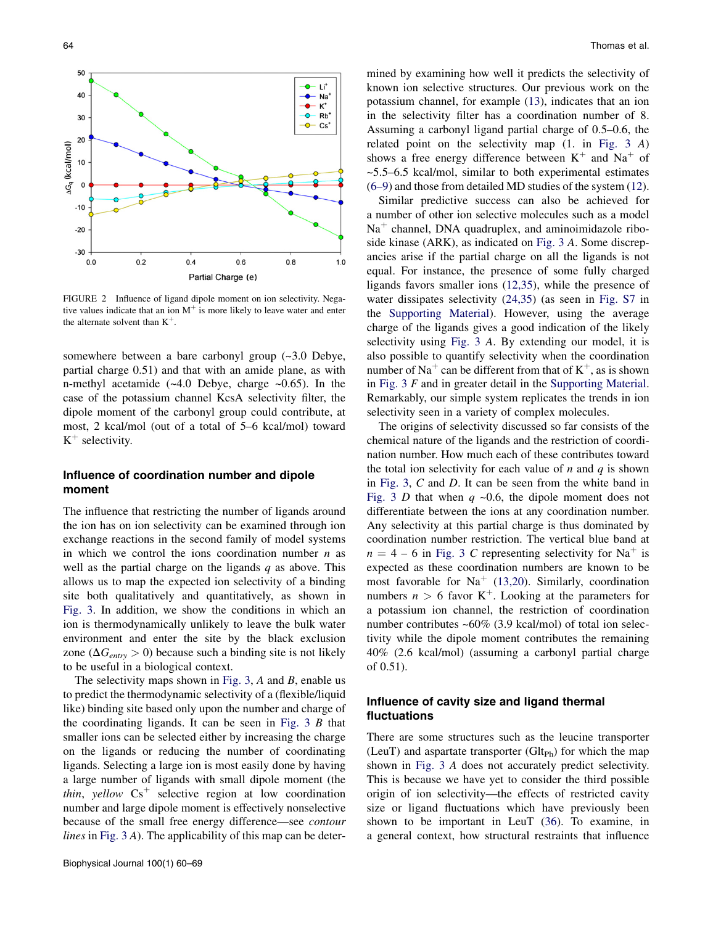<span id="page-4-0"></span>

FIGURE 2 Influence of ligand dipole moment on ion selectivity. Negative values indicate that an ion  $M^+$  is more likely to leave water and enter the alternate solvent than  $K^+$ .

somewhere between a bare carbonyl group (~3.0 Debye, partial charge 0.51) and that with an amide plane, as with n-methyl acetamide  $(-4.0$  Debye, charge  $-0.65$ ). In the case of the potassium channel KcsA selectivity filter, the dipole moment of the carbonyl group could contribute, at most, 2 kcal/mol (out of a total of 5–6 kcal/mol) toward  $K^+$  selectivity.

# Influence of coordination number and dipole moment

The influence that restricting the number of ligands around the ion has on ion selectivity can be examined through ion exchange reactions in the second family of model systems in which we control the ions coordination number  $n$  as well as the partial charge on the ligands  $q$  as above. This allows us to map the expected ion selectivity of a binding site both qualitatively and quantitatively, as shown in [Fig. 3.](#page-5-0) In addition, we show the conditions in which an ion is thermodynamically unlikely to leave the bulk water environment and enter the site by the black exclusion zone ( $\Delta G_{entry} > 0$ ) because such a binding site is not likely to be useful in a biological context.

The selectivity maps shown in [Fig. 3](#page-5-0),  $A$  and  $B$ , enable us to predict the thermodynamic selectivity of a (flexible/liquid like) binding site based only upon the number and charge of the coordinating ligands. It can be seen in Fig.  $3 \, B$  that smaller ions can be selected either by increasing the charge on the ligands or reducing the number of coordinating ligands. Selecting a large ion is most easily done by having a large number of ligands with small dipole moment (the thin, yellow  $Cs^+$  selective region at low coordination number and large dipole moment is effectively nonselective because of the small free energy difference—see contour lines in [Fig. 3](#page-5-0) A). The applicability of this map can be determined by examining how well it predicts the selectivity of known ion selective structures. Our previous work on the potassium channel, for example [\(13](#page-9-0)), indicates that an ion in the selectivity filter has a coordination number of 8. Assuming a carbonyl ligand partial charge of 0.5–0.6, the related point on the selectivity map (1. in [Fig. 3](#page-5-0) A) shows a free energy difference between  $K^+$  and  $Na^+$  of  $~5.5-6.5$  kcal/mol, similar to both experimental estimates ([6–9\)](#page-9-0) and those from detailed MD studies of the system ([12\)](#page-9-0).

Similar predictive success can also be achieved for a number of other ion selective molecules such as a model  $Na<sup>+</sup>$  channel, DNA quadruplex, and aminoimidazole riboside kinase (ARK), as indicated on [Fig. 3](#page-5-0) A. Some discrepancies arise if the partial charge on all the ligands is not equal. For instance, the presence of some fully charged ligands favors smaller ions [\(12,35\)](#page-9-0), while the presence of water dissipates selectivity [\(24,35\)](#page-9-0) (as seen in [Fig. S7](#page-8-0) in the [Supporting Material](#page-8-0)). However, using the average charge of the ligands gives a good indication of the likely selectivity using [Fig. 3](#page-5-0) A. By extending our model, it is also possible to quantify selectivity when the coordination number of Na<sup>+</sup> can be different from that of  $K^+$ , as is shown in [Fig. 3](#page-5-0) F and in greater detail in the [Supporting Material](#page-8-0). Remarkably, our simple system replicates the trends in ion selectivity seen in a variety of complex molecules.

The origins of selectivity discussed so far consists of the chemical nature of the ligands and the restriction of coordination number. How much each of these contributes toward the total ion selectivity for each value of  $n$  and  $q$  is shown in [Fig. 3](#page-5-0), C and D. It can be seen from the white band in [Fig. 3](#page-5-0) D that when  $q \sim 0.6$ , the dipole moment does not differentiate between the ions at any coordination number. Any selectivity at this partial charge is thus dominated by coordination number restriction. The vertical blue band at  $n = 4 - 6$  in [Fig. 3](#page-5-0) C representing selectivity for Na<sup>+</sup> is expected as these coordination numbers are known to be most favorable for  $Na<sup>+</sup>$  ([13,20](#page-9-0)). Similarly, coordination numbers  $n > 6$  favor K<sup>+</sup>. Looking at the parameters for a potassium ion channel, the restriction of coordination number contributes ~60% (3.9 kcal/mol) of total ion selectivity while the dipole moment contributes the remaining 40% (2.6 kcal/mol) (assuming a carbonyl partial charge of 0.51).

# Influence of cavity size and ligand thermal fluctuations

There are some structures such as the leucine transporter (LeuT) and aspartate transporter ( $\text{Glt}_{\text{Ph}}$ ) for which the map shown in [Fig. 3](#page-5-0) A does not accurately predict selectivity. This is because we have yet to consider the third possible origin of ion selectivity—the effects of restricted cavity size or ligand fluctuations which have previously been shown to be important in LeuT [\(36](#page-9-0)). To examine, in a general context, how structural restraints that influence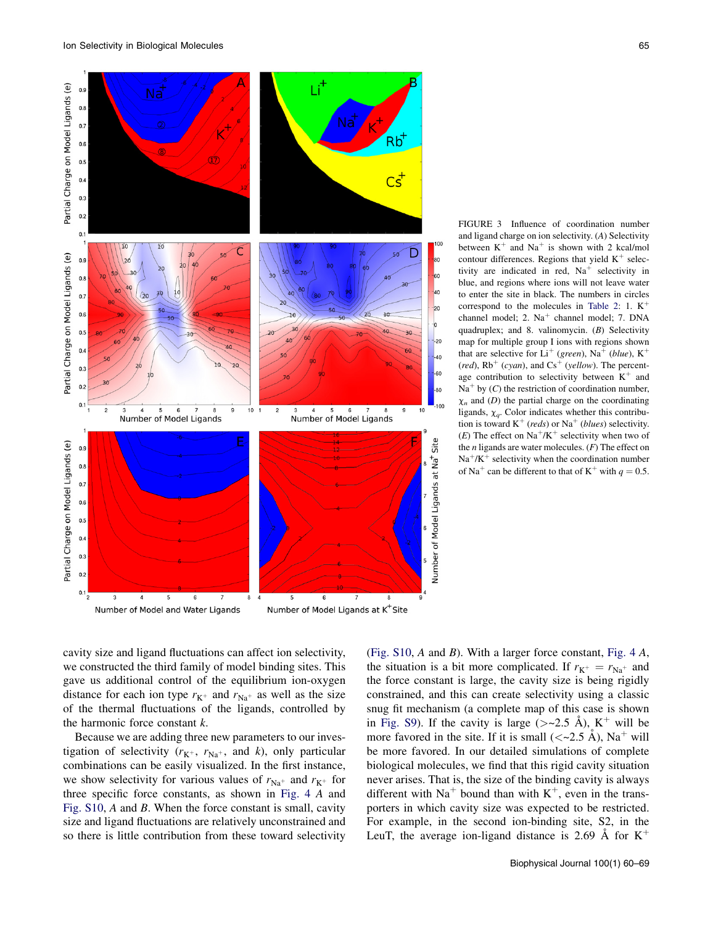<span id="page-5-0"></span>

FIGURE 3 Influence of coordination number and ligand charge on ion selectivity. (A) Selectivity between  $K^+$  and  $Na^+$  is shown with 2 kcal/mol contour differences. Regions that yield  $K^+$  selectivity are indicated in red,  $Na<sup>+</sup>$  selectivity in blue, and regions where ions will not leave water to enter the site in black. The numbers in circles correspond to the molecules in [Table 2](#page-7-0): 1.  $K^+$ channel model; 2.  $Na<sup>+</sup>$  channel model; 7. DNA quadruplex; and 8. valinomycin. (B) Selectivity map for multiple group I ions with regions shown that are selective for Li<sup>+</sup> (green), Na<sup>+</sup> (blue), K<sup>+</sup> (red),  $Rb^{+}$  (cyan), and  $Cs^{+}$  (yellow). The percentage contribution to selectivity between  $K^+$  and  $Na<sup>+</sup>$  by (C) the restriction of coordination number,  $\chi_n$  and (D) the partial charge on the coordinating ligands,  $\chi_q$ . Color indicates whether this contribution is toward  $K^+$  (reds) or Na<sup>+</sup> (blues) selectivity. (E) The effect on  $\text{Na}^+/ \text{K}^+$  selectivity when two of the *n* ligands are water molecules.  $(F)$  The effect on  $Na^{+}/K^{+}$  selectivity when the coordination number of Na<sup>+</sup> can be different to that of K<sup>+</sup> with  $q = 0.5$ .

cavity size and ligand fluctuations can affect ion selectivity, we constructed the third family of model binding sites. This gave us additional control of the equilibrium ion-oxygen distance for each ion type  $r_{K^+}$  and  $r_{Na^+}$  as well as the size of the thermal fluctuations of the ligands, controlled by the harmonic force constant  $k$ .

Because we are adding three new parameters to our investigation of selectivity  $(r_{K^+}, r_{Na^+},$  and k), only particular combinations can be easily visualized. In the first instance, we show selectivity for various values of  $r_{\text{Na}^+}$  and  $r_{\text{K}^+}$  for three specific force constants, as shown in [Fig. 4](#page-6-0) A and [Fig. S10,](#page-8-0) A and B. When the force constant is small, cavity size and ligand fluctuations are relatively unconstrained and so there is little contribution from these toward selectivity

(Fig.  $S10$ , A and B). With a larger force constant, [Fig. 4](#page-6-0) A, the situation is a bit more complicated. If  $r_{K^+} = r_{Na^+}$  and the force constant is large, the cavity size is being rigidly constrained, and this can create selectivity using a classic snug fit mechanism (a complete map of this case is shown in [Fig. S9\)](#page-8-0). If the cavity is large ( $>$  -2.5 Å), K<sup>+</sup> will be more favored in the site. If it is small  $( $2.5 \text{ Å}$ ), Na<sup>+</sup> will$ be more favored. In our detailed simulations of complete biological molecules, we find that this rigid cavity situation never arises. That is, the size of the binding cavity is always different with  $Na<sup>+</sup>$  bound than with  $K<sup>+</sup>$ , even in the transporters in which cavity size was expected to be restricted. For example, in the second ion-binding site, S2, in the LeuT, the average ion-ligand distance is 2.69 Å for  $K^+$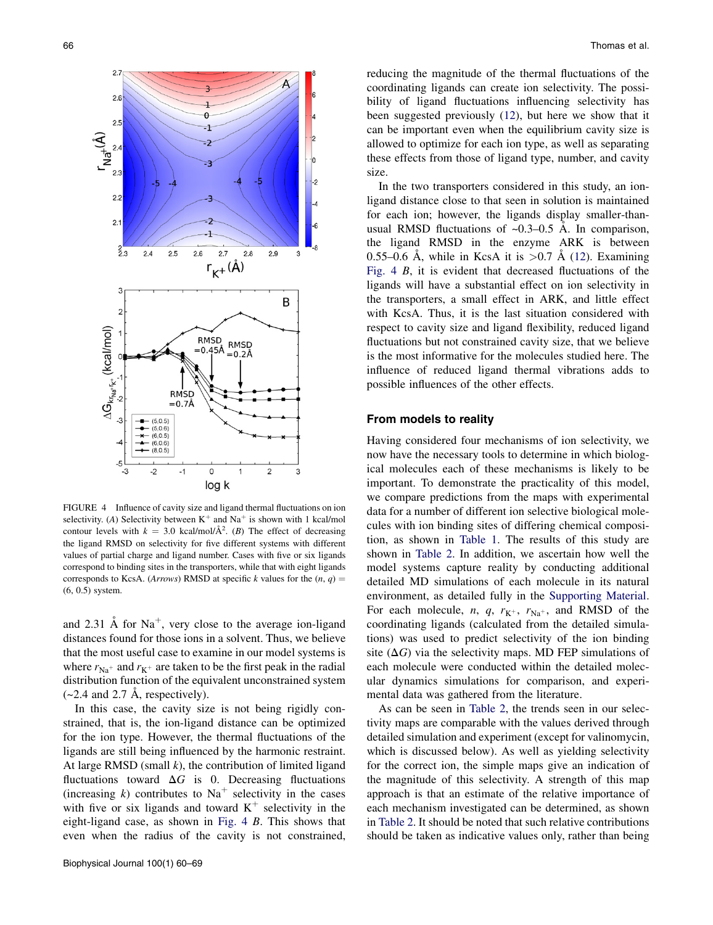<span id="page-6-0"></span>

FIGURE 4 Influence of cavity size and ligand thermal fluctuations on ion selectivity. (A) Selectivity between  $K^+$  and Na<sup>+</sup> is shown with 1 kcal/mol contour levels with  $k = 3.0$  kcal/mol/ $\AA^2$ . (*B*) The effect of decreasing the ligand RMSD on selectivity for five different systems with different values of partial charge and ligand number. Cases with five or six ligands correspond to binding sites in the transporters, while that with eight ligands corresponds to KcsA. (Arrows) RMSD at specific k values for the  $(n, q)$  = (6, 0.5) system.

and 2.31 Å for  $Na^+$ , very close to the average ion-ligand distances found for those ions in a solvent. Thus, we believe that the most useful case to examine in our model systems is where  $r_{\text{Na}^+}$  and  $r_{\text{K}^+}$  are taken to be the first peak in the radial distribution function of the equivalent unconstrained system  $(-2.4$  and 2.7 Å, respectively).

In this case, the cavity size is not being rigidly constrained, that is, the ion-ligand distance can be optimized for the ion type. However, the thermal fluctuations of the ligands are still being influenced by the harmonic restraint. At large RMSD (small  $k$ ), the contribution of limited ligand fluctuations toward  $\Delta G$  is 0. Decreasing fluctuations (increasing k) contributes to  $Na<sup>+</sup>$  selectivity in the cases with five or six ligands and toward  $K^+$  selectivity in the eight-ligand case, as shown in Fig. 4 B. This shows that even when the radius of the cavity is not constrained, reducing the magnitude of the thermal fluctuations of the coordinating ligands can create ion selectivity. The possibility of ligand fluctuations influencing selectivity has been suggested previously [\(12](#page-9-0)), but here we show that it can be important even when the equilibrium cavity size is allowed to optimize for each ion type, as well as separating these effects from those of ligand type, number, and cavity size.

In the two transporters considered in this study, an ionligand distance close to that seen in solution is maintained for each ion; however, the ligands display smaller-thanusual RMSD fluctuations of  $\sim 0.3-0.5$  Å. In comparison, the ligand RMSD in the enzyme ARK is between 0.55–0.6 Å, while in KcsA it is  $>0.7$  Å ([12\)](#page-9-0). Examining Fig. 4 B, it is evident that decreased fluctuations of the ligands will have a substantial effect on ion selectivity in the transporters, a small effect in ARK, and little effect with KcsA. Thus, it is the last situation considered with respect to cavity size and ligand flexibility, reduced ligand fluctuations but not constrained cavity size, that we believe is the most informative for the molecules studied here. The influence of reduced ligand thermal vibrations adds to possible influences of the other effects.

#### From models to reality

Having considered four mechanisms of ion selectivity, we now have the necessary tools to determine in which biological molecules each of these mechanisms is likely to be important. To demonstrate the practicality of this model, we compare predictions from the maps with experimental data for a number of different ion selective biological molecules with ion binding sites of differing chemical composition, as shown in [Table 1.](#page-7-0) The results of this study are shown in [Table 2.](#page-7-0) In addition, we ascertain how well the model systems capture reality by conducting additional detailed MD simulations of each molecule in its natural environment, as detailed fully in the [Supporting Material](#page-8-0). For each molecule, *n*, *q*,  $r_{K^+}$ ,  $r_{Na^+}$ , and RMSD of the coordinating ligands (calculated from the detailed simulations) was used to predict selectivity of the ion binding site  $(\Delta G)$  via the selectivity maps. MD FEP simulations of each molecule were conducted within the detailed molecular dynamics simulations for comparison, and experimental data was gathered from the literature.

As can be seen in [Table 2,](#page-7-0) the trends seen in our selectivity maps are comparable with the values derived through detailed simulation and experiment (except for valinomycin, which is discussed below). As well as yielding selectivity for the correct ion, the simple maps give an indication of the magnitude of this selectivity. A strength of this map approach is that an estimate of the relative importance of each mechanism investigated can be determined, as shown in [Table 2.](#page-7-0) It should be noted that such relative contributions should be taken as indicative values only, rather than being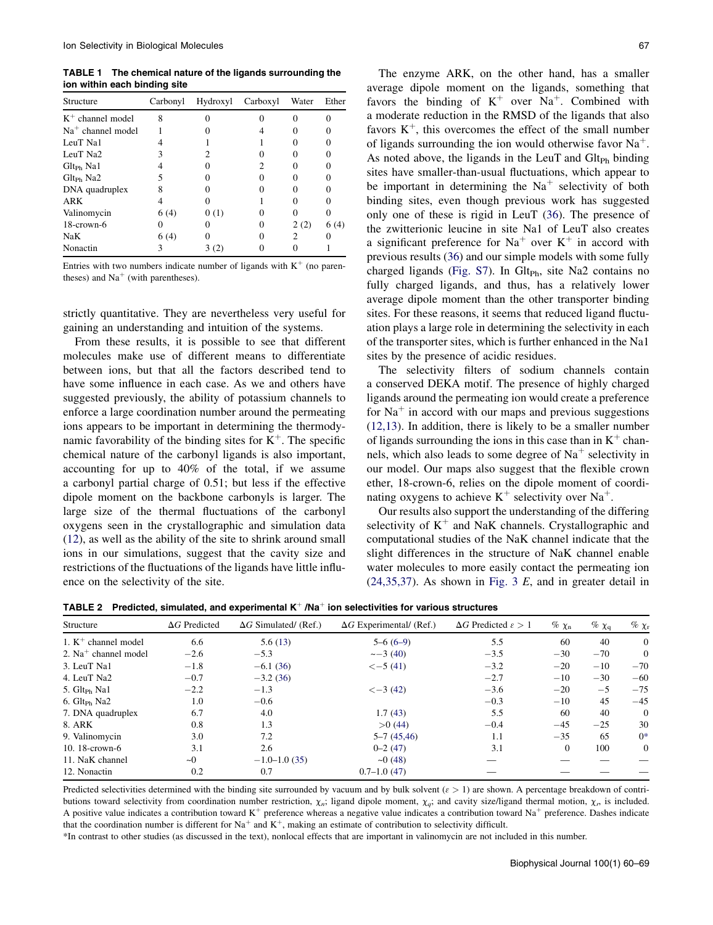<span id="page-7-0"></span>TABLE 1 The chemical nature of the ligands surrounding the ion within each binding site

| Structure           | Carbonyl | Hydroxyl | Carboxyl          | Water | Ether |
|---------------------|----------|----------|-------------------|-------|-------|
| $K^+$ channel model | 8        |          |                   |       |       |
| $Na+ channel model$ |          |          |                   |       |       |
| LeuT Na1            |          |          |                   |       |       |
| LeuT Na2            |          |          |                   |       |       |
| $Glt_{Ph}$ Na1      |          |          | 2                 |       |       |
| $Glt_{Ph}$ Na2      |          |          |                   |       |       |
| DNA quadruplex      |          |          |                   |       |       |
| <b>ARK</b>          |          |          |                   |       |       |
| Valinomycin         | 6(4)     | 0(1)     |                   |       |       |
| 18-crown-6          |          |          | $\mathbf{\Omega}$ | 2(2)  | 6(4)  |
| NaK                 | 6(4)     |          |                   | 2     |       |
| Nonactin            |          |          |                   |       |       |

Entries with two numbers indicate number of ligands with  $K^+$  (no parentheses) and  $Na<sup>+</sup>$  (with parentheses).

strictly quantitative. They are nevertheless very useful for gaining an understanding and intuition of the systems.

From these results, it is possible to see that different molecules make use of different means to differentiate between ions, but that all the factors described tend to have some influence in each case. As we and others have suggested previously, the ability of potassium channels to enforce a large coordination number around the permeating ions appears to be important in determining the thermodynamic favorability of the binding sites for  $K^+$ . The specific chemical nature of the carbonyl ligands is also important, accounting for up to 40% of the total, if we assume a carbonyl partial charge of 0.51; but less if the effective dipole moment on the backbone carbonyls is larger. The large size of the thermal fluctuations of the carbonyl oxygens seen in the crystallographic and simulation data ([12\)](#page-9-0), as well as the ability of the site to shrink around small ions in our simulations, suggest that the cavity size and restrictions of the fluctuations of the ligands have little influence on the selectivity of the site.

The enzyme ARK, on the other hand, has a smaller average dipole moment on the ligands, something that favors the binding of  $K^+$  over Na<sup>+</sup>. Combined with a moderate reduction in the RMSD of the ligands that also favors  $K^+$ , this overcomes the effect of the small number of ligands surrounding the ion would otherwise favor  $Na<sup>+</sup>$ . As noted above, the ligands in the LeuT and  $\mathrm{Glt}_{\mathrm{Ph}}$  binding sites have smaller-than-usual fluctuations, which appear to be important in determining the  $Na<sup>+</sup>$  selectivity of both binding sites, even though previous work has suggested only one of these is rigid in LeuT ([36\)](#page-9-0). The presence of the zwitterionic leucine in site Na1 of LeuT also creates a significant preference for  $Na<sup>+</sup>$  over  $K<sup>+</sup>$  in accord with previous results ([36\)](#page-9-0) and our simple models with some fully charged ligands ([Fig. S7](#page-8-0)). In Glt $_{\text{Ph}}$ , site Na2 contains no fully charged ligands, and thus, has a relatively lower average dipole moment than the other transporter binding sites. For these reasons, it seems that reduced ligand fluctuation plays a large role in determining the selectivity in each of the transporter sites, which is further enhanced in the Na1 sites by the presence of acidic residues.

The selectivity filters of sodium channels contain a conserved DEKA motif. The presence of highly charged ligands around the permeating ion would create a preference for  $Na<sup>+</sup>$  in accord with our maps and previous suggestions ([12,13](#page-9-0)). In addition, there is likely to be a smaller number of ligands surrounding the ions in this case than in  $K^+$  channels, which also leads to some degree of  $Na<sup>+</sup>$  selectivity in our model. Our maps also suggest that the flexible crown ether, 18-crown-6, relies on the dipole moment of coordinating oxygens to achieve  $K^+$  selectivity over Na<sup>+</sup>.

Our results also support the understanding of the differing selectivity of  $K^+$  and NaK channels. Crystallographic and computational studies of the NaK channel indicate that the slight differences in the structure of NaK channel enable water molecules to more easily contact the permeating ion  $(24,35,37)$  $(24,35,37)$ . As shown in [Fig. 3](#page-5-0) E, and in greater detail in

TABLE 2 Predicted, simulated, and experimental  $K^+/Na^+$  ion selectivities for various structures

| Structure                 | $\Delta G$ Predicted | $\Delta G$ Simulated/ (Ref.) | $\Delta G$ Experimental/ (Ref.) | $\Delta G$ Predicted $\varepsilon > 1$ | $\%$ $\chi_{\rm n}$ | $\%$ $\chi$ <sup>q</sup> | % $\chi_{\rm r}$ |
|---------------------------|----------------------|------------------------------|---------------------------------|----------------------------------------|---------------------|--------------------------|------------------|
| 1. $K^+$ channel model    | 6.6                  | 5.6(13)                      | $5-6(6-9)$                      | 5.5                                    | 60                  | 40                       | $\overline{0}$   |
| 2. $Na+ channel model$    | $-2.6$               | $-5.3$                       | $\sim$ -3 (40)                  | $-3.5$                                 | $-30$               | $-70$                    | $\overline{0}$   |
| 3. LeuT Na1               | $-1.8$               | $-6.1(36)$                   | $\leftarrow$ 5 (41)             | $-3.2$                                 | $-20$               | $-10$                    | $-70$            |
| 4. LeuT Na2               | $-0.7$               | $-3.2(36)$                   |                                 | $-2.7$                                 | $-10$               | $-30$                    | $-60$            |
| 5. Glt <sub>Ph</sub> Na1  | $-2.2$               | $-1.3$                       | $\leftarrow$ 3 (42)             | $-3.6$                                 | $-20$               | $-5$                     | $-75$            |
| 6. $\rm Glt_{\rm Ph}$ Na2 | 1.0                  | $-0.6$                       |                                 | $-0.3$                                 | $-10$               | 45                       | $-45$            |
| 7. DNA quadruplex         | 6.7                  | 4.0                          | 1.7(43)                         | 5.5                                    | 60                  | 40                       | $\theta$         |
| 8. ARK                    | 0.8                  | 1.3                          | >0(44)                          | $-0.4$                                 | $-45$               | $-25$                    | 30               |
| 9. Valinomycin            | 3.0                  | 7.2                          | $5-7(45,46)$                    | 1.1                                    | $-35$               | 65                       | $0*$             |
| 10. 18-crown-6            | 3.1                  | 2.6                          | $0 - 2(47)$                     | 3.1                                    | $\Omega$            | 100                      | $\Omega$         |
| 11. NaK channel           | $\sim 0$             | $-1.0 - 1.0(35)$             | $\sim 0$ (48)                   |                                        |                     |                          |                  |
| 12. Nonactin              | 0.2                  | 0.7                          | $0.7 - 1.0(47)$                 |                                        |                     |                          |                  |

Predicted selectivities determined with the binding site surrounded by vacuum and by bulk solvent ( $\varepsilon > 1$ ) are shown. A percentage breakdown of contributions toward selectivity from coordination number restriction,  $\chi_n$ ; ligand dipole moment,  $\chi_o$ ; and cavity size/ligand thermal motion,  $\chi_n$ , is included. A positive value indicates a contribution toward  $K^+$  preference whereas a negative value indicates a contribution toward  $Na^+$  preference. Dashes indicate that the coordination number is different for  $Na^+$  and  $K^+$ , making an estimate of contribution to selectivity difficult.

\*In contrast to other studies (as discussed in the text), nonlocal effects that are important in valinomycin are not included in this number.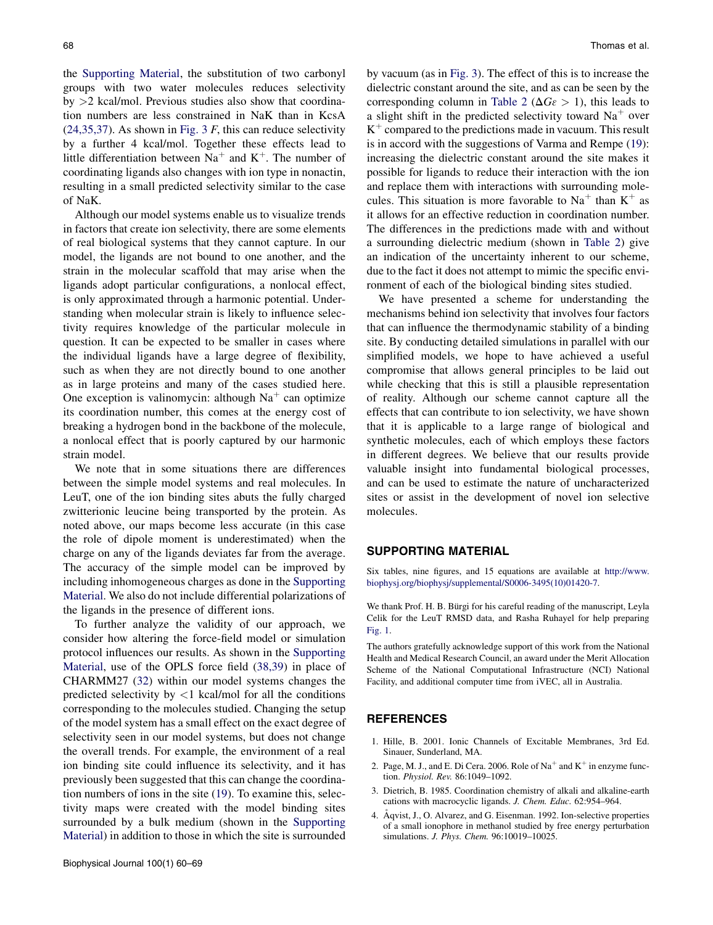<span id="page-8-0"></span>the Supporting Material, the substitution of two carbonyl groups with two water molecules reduces selectivity by >2 kcal/mol. Previous studies also show that coordination numbers are less constrained in NaK than in KcsA  $(24,35,37)$  $(24,35,37)$ . As shown in [Fig. 3](#page-5-0) F, this can reduce selectivity by a further 4 kcal/mol. Together these effects lead to little differentiation between  $Na<sup>+</sup>$  and  $K<sup>+</sup>$ . The number of coordinating ligands also changes with ion type in nonactin, resulting in a small predicted selectivity similar to the case of NaK.

Although our model systems enable us to visualize trends in factors that create ion selectivity, there are some elements of real biological systems that they cannot capture. In our model, the ligands are not bound to one another, and the strain in the molecular scaffold that may arise when the ligands adopt particular configurations, a nonlocal effect, is only approximated through a harmonic potential. Understanding when molecular strain is likely to influence selectivity requires knowledge of the particular molecule in question. It can be expected to be smaller in cases where the individual ligands have a large degree of flexibility, such as when they are not directly bound to one another as in large proteins and many of the cases studied here. One exception is valinomycin: although  $Na<sup>+</sup>$  can optimize its coordination number, this comes at the energy cost of breaking a hydrogen bond in the backbone of the molecule, a nonlocal effect that is poorly captured by our harmonic strain model.

We note that in some situations there are differences between the simple model systems and real molecules. In LeuT, one of the ion binding sites abuts the fully charged zwitterionic leucine being transported by the protein. As noted above, our maps become less accurate (in this case the role of dipole moment is underestimated) when the charge on any of the ligands deviates far from the average. The accuracy of the simple model can be improved by including inhomogeneous charges as done in the Supporting Material. We also do not include differential polarizations of the ligands in the presence of different ions.

To further analyze the validity of our approach, we consider how altering the force-field model or simulation protocol influences our results. As shown in the Supporting Material, use of the OPLS force field ([38,39\)](#page-9-0) in place of CHARMM27 ([32\)](#page-9-0) within our model systems changes the predicted selectivity by  $\langle 1 \text{ kcal/mol}$  for all the conditions corresponding to the molecules studied. Changing the setup of the model system has a small effect on the exact degree of selectivity seen in our model systems, but does not change the overall trends. For example, the environment of a real ion binding site could influence its selectivity, and it has previously been suggested that this can change the coordination numbers of ions in the site [\(19](#page-9-0)). To examine this, selectivity maps were created with the model binding sites surrounded by a bulk medium (shown in the Supporting Material) in addition to those in which the site is surrounded by vacuum (as in [Fig. 3](#page-5-0)). The effect of this is to increase the dielectric constant around the site, and as can be seen by the corresponding column in [Table 2](#page-7-0) ( $\Delta G_{\epsilon} > 1$ ), this leads to a slight shift in the predicted selectivity toward  $Na<sup>+</sup>$  over  $K^+$  compared to the predictions made in vacuum. This result is in accord with the suggestions of Varma and Rempe [\(19](#page-9-0)): increasing the dielectric constant around the site makes it possible for ligands to reduce their interaction with the ion and replace them with interactions with surrounding molecules. This situation is more favorable to  $Na<sup>+</sup>$  than  $K<sup>+</sup>$  as it allows for an effective reduction in coordination number. The differences in the predictions made with and without a surrounding dielectric medium (shown in [Table 2](#page-7-0)) give an indication of the uncertainty inherent to our scheme, due to the fact it does not attempt to mimic the specific environment of each of the biological binding sites studied.

We have presented a scheme for understanding the mechanisms behind ion selectivity that involves four factors that can influence the thermodynamic stability of a binding site. By conducting detailed simulations in parallel with our simplified models, we hope to have achieved a useful compromise that allows general principles to be laid out while checking that this is still a plausible representation of reality. Although our scheme cannot capture all the effects that can contribute to ion selectivity, we have shown that it is applicable to a large range of biological and synthetic molecules, each of which employs these factors in different degrees. We believe that our results provide valuable insight into fundamental biological processes, and can be used to estimate the nature of uncharacterized sites or assist in the development of novel ion selective molecules.

#### SUPPORTING MATERIAL

Six tables, nine figures, and 15 equations are available at [http://www.](http://www.biophysj.org/biophysj/supplemental/S0006-3495(10)01420-7) [biophysj.org/biophysj/supplemental/S0006-3495\(10\)01420-7.](http://www.biophysj.org/biophysj/supplemental/S0006-3495(10)01420-7)

We thank Prof. H. B. Bürgi for his careful reading of the manuscript, Leyla Celik for the LeuT RMSD data, and Rasha Ruhayel for help preparing [Fig. 1](#page-2-0).

The authors gratefully acknowledge support of this work from the National Health and Medical Research Council, an award under the Merit Allocation Scheme of the National Computational Infrastructure (NCI) National Facility, and additional computer time from iVEC, all in Australia.

# **REFERENCES**

- 1. Hille, B. 2001. Ionic Channels of Excitable Membranes, 3rd Ed. Sinauer, Sunderland, MA.
- 2. Page, M. J., and E. Di Cera. 2006. Role of  $Na<sup>+</sup>$  and  $K<sup>+</sup>$  in enzyme function. Physiol. Rev. 86:1049–1092.
- 3. Dietrich, B. 1985. Coordination chemistry of alkali and alkaline-earth cations with macrocyclic ligands. J. Chem. Educ. 62:954–964.
- 4. Åqvist, J., O. Alvarez, and G. Eisenman. 1992. Ion-selective properties of a small ionophore in methanol studied by free energy perturbation simulations. J. Phys. Chem. 96:10019–10025.